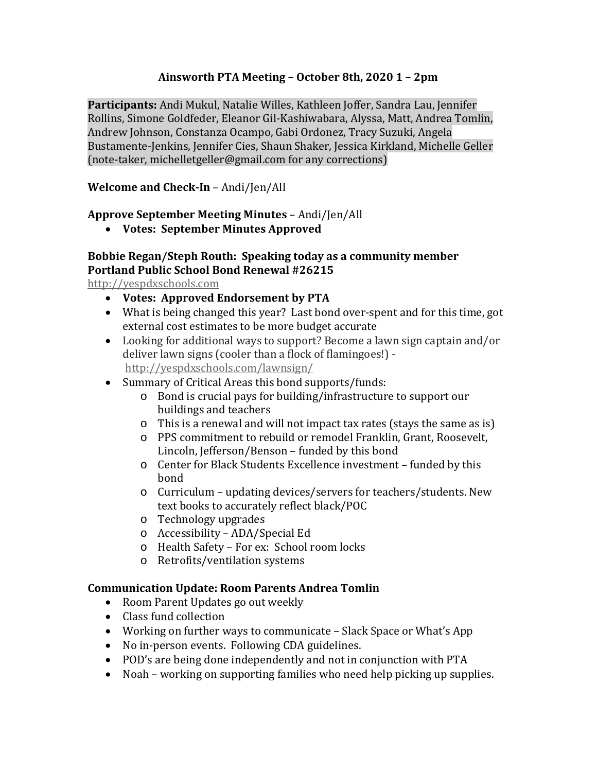## **Ainsworth PTA Meeting – October 8th, 2020 1 – 2pm**

**Participants:** Andi Mukul, Natalie Willes, Kathleen Joffer, Sandra Lau, Jennifer Rollins, Simone Goldfeder, Eleanor Gil-Kashiwabara, Alyssa, Matt, Andrea Tomlin, Andrew Johnson, Constanza Ocampo, Gabi Ordonez, Tracy Suzuki, Angela Bustamente-Jenkins, Jennifer Cies, Shaun Shaker, Jessica Kirkland, Michelle Geller (note-taker, michelletgeller@gmail.com for any corrections)

#### **Welcome and Check-In** – Andi/Jen/All

#### **Approve September Meeting Minutes** – Andi/Jen/All

**Votes: September Minutes Approved**

# **Bobbie Regan/Steph Routh: Speaking today as a community member Portland Public School Bond Renewal #26215**

http://yespdxschools.com

- **Votes: Approved Endorsement by PTA**
- What is being changed this year? Last bond over-spent and for this time, got external cost estimates to be more budget accurate
- Looking for additional ways to support? Become a lawn sign captain and/or deliver lawn signs (cooler than a flock of flamingoes!) http://yespdxschools.com/lawnsign/
- Summary of Critical Areas this bond supports/funds:
	- o Bond is crucial pays for building/infrastructure to support our buildings and teachers
	- o This is a renewal and will not impact tax rates (stays the same as is)
	- o PPS commitment to rebuild or remodel Franklin, Grant, Roosevelt, Lincoln, Jefferson/Benson – funded by this bond
	- o Center for Black Students Excellence investment funded by this bond
	- o Curriculum updating devices/servers for teachers/students. New text books to accurately reflect black/POC
	- o Technology upgrades
	- o Accessibility ADA/Special Ed
	- o Health Safety For ex: School room locks
	- o Retrofits/ventilation systems

#### **Communication Update: Room Parents Andrea Tomlin**

- Room Parent Updates go out weekly
- Class fund collection
- Working on further ways to communicate Slack Space or What's App
- No in-person events. Following CDA guidelines.
- POD's are being done independently and not in conjunction with PTA
- Noah working on supporting families who need help picking up supplies.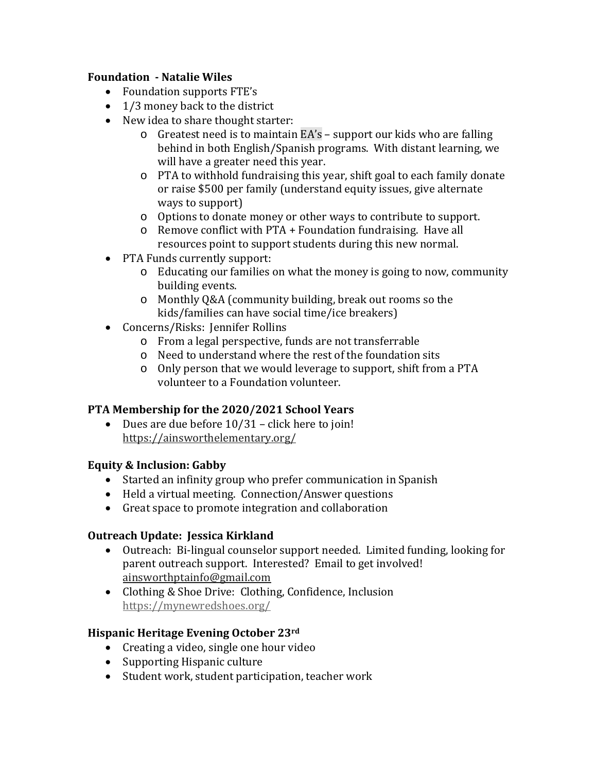#### **Foundation - Natalie Wiles**

- Foundation supports FTE's
- 1/3 money back to the district
- New idea to share thought starter:
	- o Greatest need is to maintain EA's support our kids who are falling behind in both English/Spanish programs. With distant learning, we will have a greater need this year.
	- o PTA to withhold fundraising this year, shift goal to each family donate or raise \$500 per family (understand equity issues, give alternate ways to support)
	- o Options to donate money or other ways to contribute to support.
	- o Remove conflict with PTA + Foundation fundraising. Have all resources point to support students during this new normal.
- PTA Funds currently support:
	- $\circ$  Educating our families on what the money is going to now, community building events.
	- o Monthly Q&A (community building, break out rooms so the kids/families can have social time/ice breakers)
- Concerns/Risks: Jennifer Rollins
	- o From a legal perspective, funds are not transferrable
	- o Need to understand where the rest of the foundation sits
	- o Only person that we would leverage to support, shift from a PTA volunteer to a Foundation volunteer.

## **PTA Membership for the 2020/2021 School Years**

 Dues are due before 10/31 – click here to join! https://ainsworthelementary.org/

## **Equity & Inclusion: Gabby**

- Started an infinity group who prefer communication in Spanish
- Held a virtual meeting. Connection/Answer questions
- Great space to promote integration and collaboration

## **Outreach Update: Jessica Kirkland**

- Outreach: Bi-lingual counselor support needed. Limited funding, looking for parent outreach support. Interested? Email to get involved! ainsworthptainfo@gmail.com
- Clothing & Shoe Drive: Clothing, Confidence, Inclusion https://mynewredshoes.org/

## **Hispanic Heritage Evening October 23rd**

- Creating a video, single one hour video
- Supporting Hispanic culture
- Student work, student participation, teacher work